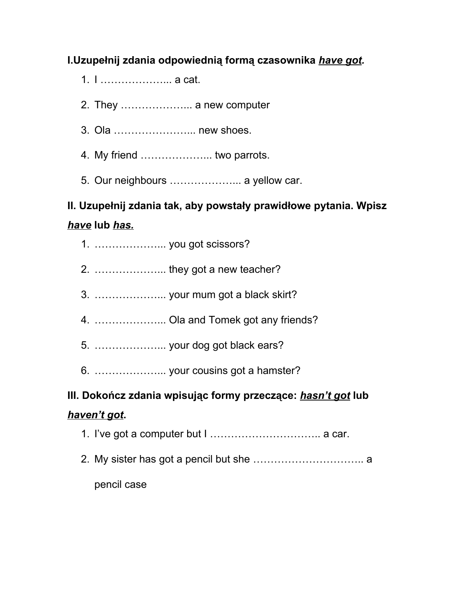### **I.Uzupełnij zdania odpowiednią formą czasownika** *have got.*

- 1. I ………………... a cat.
- 2. They ………………... a new computer
- 3. Ola …………………... new shoes.
- 4. My friend ………………... two parrots.
- 5. Our neighbours ………………... a yellow car.

## **II. Uzupełnij zdania tak, aby powstały prawidłowe pytania. Wpisz** *have***lub** *has.*

- 1. ………………... you got scissors?
- 2. ………………... they got a new teacher?
- 3. ………………... your mum got a black skirt?
- 4. ………………... Ola and Tomek got any friends?
- 5. ………………... your dog got black ears?
- 6. ………………... your cousins got a hamster?

# **III. Dokończ zdania wpisując formy przeczące:** *hasn't got***lub**

### *haven't got***.**

- 1. I've got a computer but I ………………………….. a car.
- 2. My sister has got a pencil but she ………………………….. a

pencil case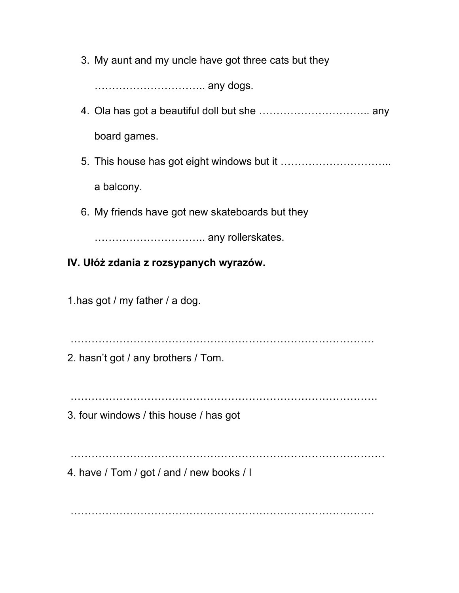3. My aunt and my uncle have got three cats but they

………………………….. any dogs.

- 4. Ola has got a beautiful doll but she ………………………….. any board games.
- 5. This house has got eight windows but it ………………………….. a balcony.
- 6. My friends have got new skateboards but they

………………………….. any rollerskates.

#### **IV. Ułóż zdania z rozsypanych wyrazów.**

1.has got / my father / a dog.

……………………………………………………………………………

2. hasn't got / any brothers / Tom.

…………………………………………………………………………….

3. four windows / this house / has got

………………………………………………………………………………

4. have / Tom / got / and / new books / I

……………………………………………………………………………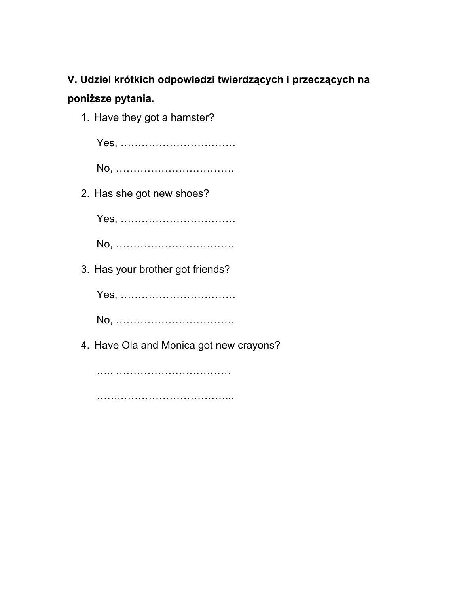## **V. Udziel krótkich odpowiedzi twierdzących i przeczących na poniższe pytania.**

1. Have they got a hamster?

Yes, ……………………………

No, …………………………….

2. Has she got new shoes?

Yes, ……………………………

No, …………………………….

3. Has your brother got friends?

Yes, ……………………………

No, …………………………….

4. Have Ola and Monica got new crayons?

….. ……………………………

………………………………………………